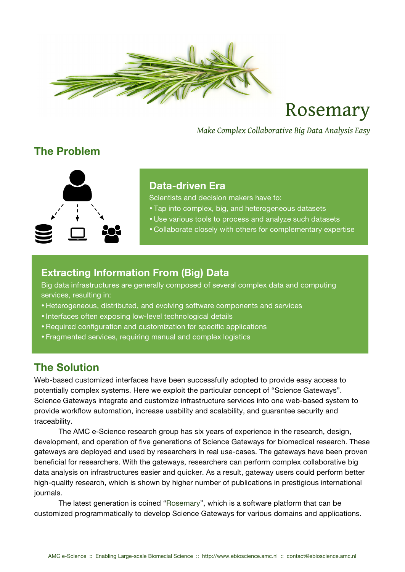

# Rosemary

*Make Complex Collaborative Big Data Analysis Easy*

# **The Problem**



#### **Data-driven Era**

Scientists and decision makers have to:

- Tap into complex, big, and heterogeneous datasets
- Use various tools to process and analyze such datasets
- Collaborate closely with others for complementary expertise

## **Extracting Information From (Big) Data**

Big data infrastructures are generally composed of several complex data and computing services, resulting in:

- Heterogeneous, distributed, and evolving software components and services
- Interfaces often exposing low-level technological details
- •Required configuration and customization for specific applications
- Fragmented services, requiring manual and complex logistics

# **The Solution**

Web-based customized interfaces have been successfully adopted to provide easy access to potentially complex systems. Here we exploit the particular concept of "Science Gateways". Science Gateways integrate and customize infrastructure services into one web-based system to provide workflow automation, increase usability and scalability, and guarantee security and traceability.

The AMC e-Science research group has six years of experience in the research, design, development, and operation of five generations of Science Gateways for biomedical research. These gateways are deployed and used by researchers in real use-cases. The gateways have been proven beneficial for researchers. With the gateways, researchers can perform complex collaborative big data analysis on infrastructures easier and quicker. As a result, gateway users could perform better high-quality research, which is shown by higher number of publications in prestigious international journals.

The latest generation is coined "Rosemary", which is a software platform that can be customized programmatically to develop Science Gateways for various domains and applications.